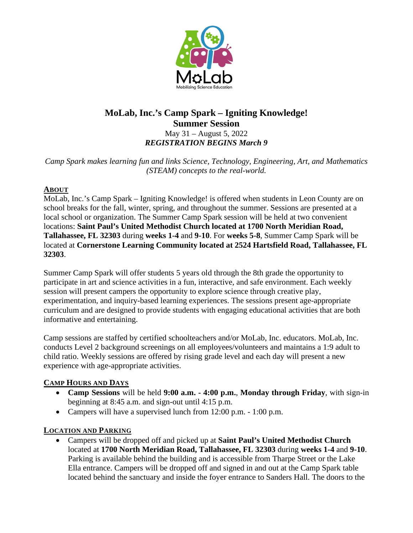

# **MoLab, Inc.'s Camp Spark – Igniting Knowledge! Summer Session**  May 31 – August 5, 2022

*REGISTRATION BEGINS March 9* 

*Camp Spark makes learning fun and links Science, Technology, Engineering, Art, and Mathematics (STEAM) concepts to the real-world.* 

#### **ABOUT**

MoLab, Inc.'s Camp Spark – Igniting Knowledge! is offered when students in Leon County are on school breaks for the fall, winter, spring, and throughout the summer. Sessions are presented at a local school or organization. The Summer Camp Spark session will be held at two convenient locations: **Saint Paul's United Methodist Church located at 1700 North Meridian Road, Tallahassee, FL 32303** during **weeks 1-4** and **9-10**. For **weeks 5-8**, Summer Camp Spark will be located at **Cornerstone Learning Community located at 2524 Hartsfield Road, Tallahassee, FL 32303**.

Summer Camp Spark will offer students 5 years old through the 8th grade the opportunity to participate in art and science activities in a fun, interactive, and safe environment. Each weekly session will present campers the opportunity to explore science through creative play, experimentation, and inquiry-based learning experiences. The sessions present age-appropriate curriculum and are designed to provide students with engaging educational activities that are both informative and entertaining.

Camp sessions are staffed by certified schoolteachers and/or MoLab, Inc. educators. MoLab, Inc. conducts Level 2 background screenings on all employees/volunteers and maintains a 1:9 adult to child ratio. Weekly sessions are offered by rising grade level and each day will present a new experience with age-appropriate activities.

## **CAMP HOURS AND DAYS**

- **Camp Sessions** will be held **9:00 a.m. 4:00 p.m.**, **Monday through Friday**, with sign-in beginning at 8:45 a.m. and sign-out until 4:15 p.m.
- Campers will have a supervised lunch from 12:00 p.m. 1:00 p.m.

# **LOCATION AND PARKING**

 Campers will be dropped off and picked up at **Saint Paul's United Methodist Church**  located at **1700 North Meridian Road, Tallahassee, FL 32303** during **weeks 1-4** and **9-10**. Parking is available behind the building and is accessible from Tharpe Street or the Lake Ella entrance. Campers will be dropped off and signed in and out at the Camp Spark table located behind the sanctuary and inside the foyer entrance to Sanders Hall. The doors to the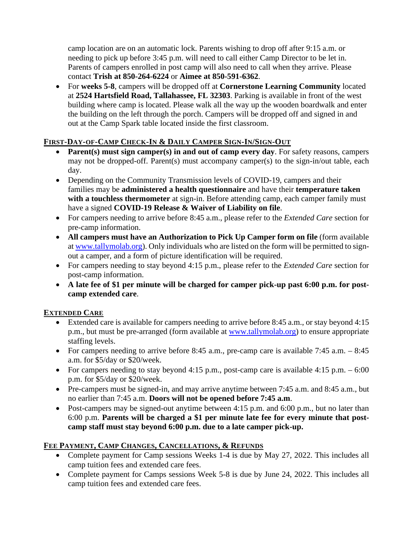camp location are on an automatic lock. Parents wishing to drop off after 9:15 a.m. or needing to pick up before 3:45 p.m. will need to call either Camp Director to be let in. Parents of campers enrolled in post camp will also need to call when they arrive. Please contact **Trish at 850-264-6224** or **Aimee at 850-591-6362**.

 For **weeks 5-8**, campers will be dropped off at **Cornerstone Learning Community** located at **2524 Hartsfield Road, Tallahassee, FL 32303**. Parking is available in front of the west building where camp is located. Please walk all the way up the wooden boardwalk and enter the building on the left through the porch. Campers will be dropped off and signed in and out at the Camp Spark table located inside the first classroom.

## FIRST-DAY-OF-CAMP CHECK-IN & DAILY CAMPER SIGN-IN/SIGN-OUT

- **Parent(s) must sign camper(s) in and out of camp every day**. For safety reasons, campers may not be dropped-off. Parent(s) must accompany camper(s) to the sign-in/out table, each day.
- Depending on the Community Transmission levels of COVID-19, campers and their families may be **administered a health questionnaire** and have their **temperature taken**  with a touchless thermometer at sign-in. Before attending camp, each camper family must have a signed **COVID-19 Release & Waiver of Liability on file**.
- For campers needing to arrive before 8:45 a.m., please refer to the *Extended Care* section for pre-camp information.
- **All campers must have an Authorization to Pick Up Camper form on file** (form available at [www.tallymolab.org\)](http://www.tallymolab.org/). Only individuals who are listed on the form will be permitted to signout a camper, and a form of picture identification will be required.
- For campers needing to stay beyond 4:15 p.m., please refer to the *Extended Care* section for post-camp information.
- **A late fee of \$1 per minute will be charged for camper pick-up past 6:00 p.m. for postcamp extended care**.

## **EXTENDED CARE**

- Extended care is available for campers needing to arrive before 8:45 a.m., or stay beyond 4:15 p.m., but must be pre-arranged (form available at [www.tallymolab.org\)](http://www.tallymolab.org/) to ensure appropriate staffing levels.
- For campers needing to arrive before 8:45 a.m., pre-camp care is available 7:45 a.m.  $-8:45$ a.m. for \$5/day or \$20/week.
- For campers needing to stay beyond 4:15 p.m., post-camp care is available 4:15 p.m.  $-6:00$ p.m. for \$5/day or \$20/week.
- Pre-campers must be signed-in, and may arrive anytime between 7:45 a.m. and 8:45 a.m., but no earlier than 7:45 a.m. **Doors will not be opened before 7:45 a.m**.
- Post-campers may be signed-out anytime between 4:15 p.m. and 6:00 p.m., but no later than 6:00 p.m. **Parents will be charged a \$1 per minute late fee for every minute that postcamp staff must stay beyond 6:00 p.m. due to a late camper pick-up.**

## **FEE PAYMENT, CAMP CHANGES, CANCELLATIONS, & REFUNDS**

- Complete payment for Camp sessions Weeks 1-4 is due by May 27, 2022. This includes all camp tuition fees and extended care fees.
- Complete payment for Camps sessions Week 5-8 is due by June 24, 2022. This includes all camp tuition fees and extended care fees.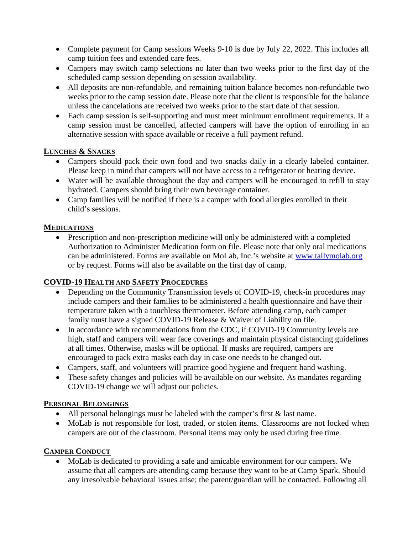- Complete payment for Camp sessions Weeks 9-10 is due by July 22, 2022. This includes all camp tuition fees and extended care fees.
- Campers may switch camp selections no later than two weeks prior to the first day of the scheduled camp session depending on session availability.
- All deposits are non-refundable, and remaining tuition balance becomes non-refundable two weeks prior to the camp session date. Please note that the client is responsible for the balance unless the cancelations are received two weeks prior to the start date of that session.
- Each camp session is self-supporting and must meet minimum enrollment requirements. If a camp session must be cancelled, affected campers will have the option of enrolling in an alternative session with space available or receive a full payment refund.

#### **LUNCHES & SNACKS**

- Campers should pack their own food and two snacks daily in a clearly labeled container. Please keep in mind that campers will not have access to a refrigerator or heating device.
- Water will be available throughout the day and campers will be encouraged to refill to stay hydrated. Campers should bring their own beverage container.
- Camp families will be notified if there is a camper with food allergies enrolled in their child's sessions.

#### **MEDICATIONS**

• Prescription and non-prescription medicine will only be administered with a completed Authorization to Administer Medication form on file. Please note that only oral medications can be administered. Forms are available on MoLab, Inc.'s website at [www.tallymolab.org](http://www.tallymolab.org/) or by request. Forms will also be available on the first day of camp.

## **COVID-19 HEALTH AND SAFETY PROCEDURES**

- Depending on the Community Transmission levels of COVID-19, check-in procedures may include campers and their families to be administered a health questionnaire and have their temperature taken with a touchless thermometer. Before attending camp, each camper family must have a signed COVID-19 Release & Waiver of Liability on file.
- In accordance with recommendations from the CDC, if COVID-19 Community levels are high, staff and campers will wear face coverings and maintain physical distancing guidelines at all times. Otherwise, masks will be optional. If masks are required, campers are encouraged to pack extra masks each day in case one needs to be changed out.
- Campers, staff, and volunteers will practice good hygiene and frequent hand washing.
- These safety changes and policies will be available on our website. As mandates regarding COVID-19 change we will adjust our policies.

#### **PERSONAL BELONGINGS**

- All personal belongings must be labeled with the camper's first & last name.
- MoLab is not responsible for lost, traded, or stolen items. Classrooms are not locked when campers are out of the classroom. Personal items may only be used during free time.

## **CAMPER CONDUCT**

 MoLab is dedicated to providing a safe and amicable environment for our campers. We assume that all campers are attending camp because they want to be at Camp Spark. Should any irresolvable behavioral issues arise; the parent/guardian will be contacted. Following all